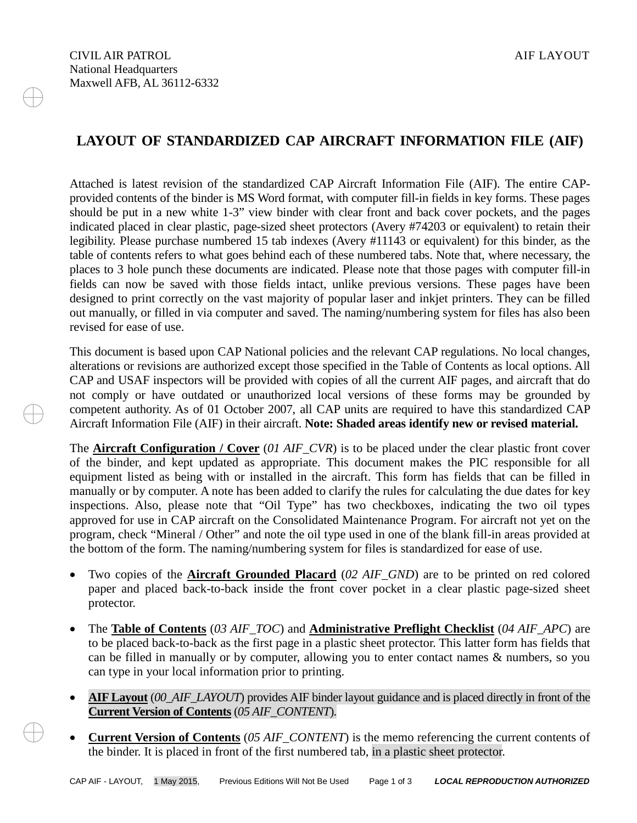## **LAYOUT OF STANDARDIZED CAP AIRCRAFT INFORMATION FILE (AIF)**

Attached is latest revision of the standardized CAP Aircraft Information File (AIF). The entire CAPprovided contents of the binder is MS Word format, with computer fill-in fields in key forms. These pages should be put in a new white 1-3" view binder with clear front and back cover pockets, and the pages indicated placed in clear plastic, page-sized sheet protectors (Avery #74203 or equivalent) to retain their legibility. Please purchase numbered 15 tab indexes (Avery #11143 or equivalent) for this binder, as the table of contents refers to what goes behind each of these numbered tabs. Note that, where necessary, the places to 3 hole punch these documents are indicated. Please note that those pages with computer fill-in fields can now be saved with those fields intact, unlike previous versions. These pages have been designed to print correctly on the vast majority of popular laser and inkjet printers. They can be filled out manually, or filled in via computer and saved. The naming/numbering system for files has also been revised for ease of use.

This document is based upon CAP National policies and the relevant CAP regulations. No local changes, alterations or revisions are authorized except those specified in the Table of Contents as local options. All CAP and USAF inspectors will be provided with copies of all the current AIF pages, and aircraft that do not comply or have outdated or unauthorized local versions of these forms may be grounded by competent authority. As of 01 October 2007, all CAP units are required to have this standardized CAP Aircraft Information File (AIF) in their aircraft. **Note: Shaded areas identify new or revised material.**

The **Aircraft Configuration / Cover** (*01 AIF\_CVR*) is to be placed under the clear plastic front cover of the binder, and kept updated as appropriate. This document makes the PIC responsible for all equipment listed as being with or installed in the aircraft. This form has fields that can be filled in manually or by computer. A note has been added to clarify the rules for calculating the due dates for key inspections. Also, please note that "Oil Type" has two checkboxes, indicating the two oil types approved for use in CAP aircraft on the Consolidated Maintenance Program. For aircraft not yet on the program, check "Mineral / Other" and note the oil type used in one of the blank fill-in areas provided at the bottom of the form. The naming/numbering system for files is standardized for ease of use.

- Two copies of the **Aircraft Grounded Placard** (*02 AIF\_GND*) are to be printed on red colored paper and placed back-to-back inside the front cover pocket in a clear plastic page-sized sheet protector.
- The **Table of Contents** (*03 AIF\_TOC*) and **Administrative Preflight Checklist** (*04 AIF\_APC*) are to be placed back-to-back as the first page in a plastic sheet protector. This latter form has fields that can be filled in manually or by computer, allowing you to enter contact names & numbers, so you can type in your local information prior to printing.
- **AIF Layout** (*00\_AIF\_LAYOUT*) provides AIF binder layout guidance and is placed directly in front of the **Current Version of Contents** (*05 AIF\_CONTENT*).
- **Current Version of Contents** (*05 AIF\_CONTENT*) is the memo referencing the current contents of the binder. It is placed in front of the first numbered tab, in a plastic sheet protector.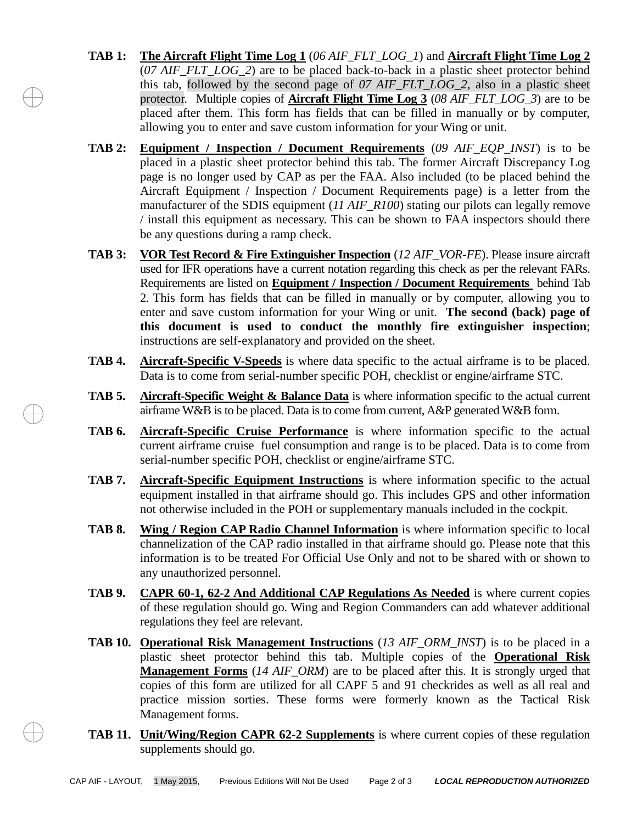- **TAB 1: The Aircraft Flight Time Log 1** (*06 AIF\_FLT\_LOG\_1*) and **Aircraft Flight Time Log 2** (*07 AIF\_FLT\_LOG\_2*) are to be placed back-to-back in a plastic sheet protector behind this tab, followed by the second page of *07 AIF\_FLT\_LOG\_2*, also in a plastic sheet protector. Multiple copies of **Aircraft Flight Time Log 3** (*08 AIF\_FLT\_LOG\_3*) are to be placed after them. This form has fields that can be filled in manually or by computer, allowing you to enter and save custom information for your Wing or unit.
- **TAB 2: Equipment / Inspection / Document Requirements** (*09 AIF\_EQP\_INST*) is to be placed in a plastic sheet protector behind this tab. The former Aircraft Discrepancy Log page is no longer used by CAP as per the FAA. Also included (to be placed behind the Aircraft Equipment / Inspection / Document Requirements page) is a letter from the manufacturer of the SDIS equipment (*11 AIF\_R100*) stating our pilots can legally remove / install this equipment as necessary. This can be shown to FAA inspectors should there be any questions during a ramp check.
- **TAB 3: VOR Test Record & Fire Extinguisher Inspection** (*12 AIF\_VOR-FE*). Please insure aircraft used for IFR operations have a current notation regarding this check as per the relevant FARs. Requirements are listed on **Equipment / Inspection / Document Requirements** behind Tab 2. This form has fields that can be filled in manually or by computer, allowing you to enter and save custom information for your Wing or unit. **The second (back) page of this document is used to conduct the monthly fire extinguisher inspection**; instructions are self-explanatory and provided on the sheet.
- **TAB 4. Aircraft-Specific V-Speeds** is where data specific to the actual airframe is to be placed. Data is to come from serial-number specific POH, checklist or engine/airframe STC.
- **TAB 5. Aircraft-Specific Weight & Balance Data** is where information specific to the actual current airframe W&B is to be placed. Data is to come from current, A&P generated W&B form.
- **TAB 6. Aircraft-Specific Cruise Performance** is where information specific to the actual current airframe cruise fuel consumption and range is to be placed. Data is to come from serial-number specific POH, checklist or engine/airframe STC.
- **TAB 7. Aircraft-Specific Equipment Instructions** is where information specific to the actual equipment installed in that airframe should go. This includes GPS and other information not otherwise included in the POH or supplementary manuals included in the cockpit.
- **TAB 8. Wing / Region CAP Radio Channel Information** is where information specific to local channelization of the CAP radio installed in that airframe should go. Please note that this information is to be treated For Official Use Only and not to be shared with or shown to any unauthorized personnel.
- **TAB 9. CAPR 60-1, 62-2 And Additional CAP Regulations As Needed** is where current copies of these regulation should go. Wing and Region Commanders can add whatever additional regulations they feel are relevant.
- **TAB 10. Operational Risk Management Instructions** (*13 AIF\_ORM\_INST*) is to be placed in a plastic sheet protector behind this tab. Multiple copies of the **Operational Risk Management Forms** (*14 AIF\_ORM*) are to be placed after this. It is strongly urged that copies of this form are utilized for all CAPF 5 and 91 checkrides as well as all real and practice mission sorties. These forms were formerly known as the Tactical Risk Management forms.
- **TAB 11. Unit/Wing/Region CAPR 62-2 Supplements** is where current copies of these regulation supplements should go.